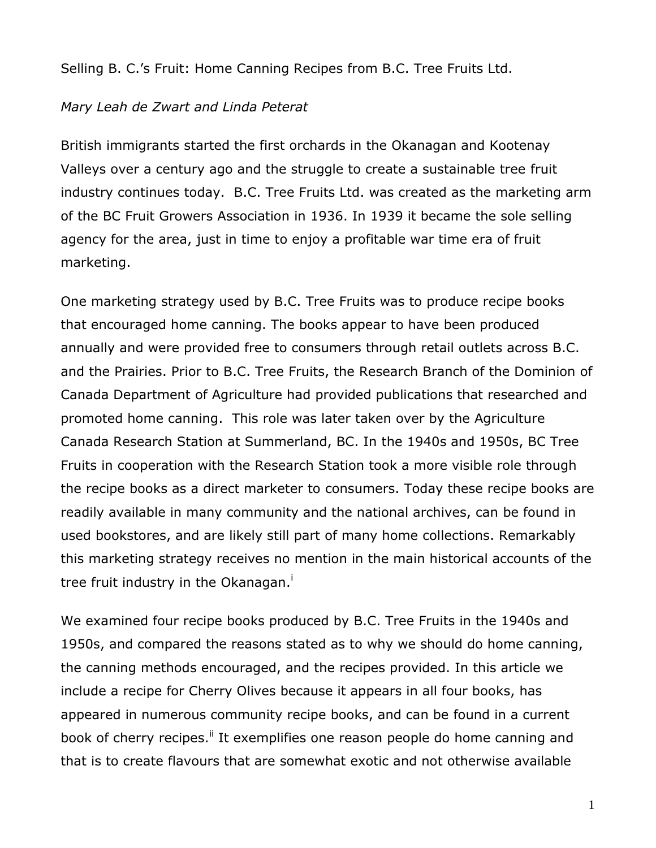Selling B. C.'s Fruit: Home Canning Recipes from B.C. Tree Fruits Ltd.

## *Mary Leah de Zwart and Linda Peterat*

British immigrants started the first orchards in the Okanagan and Kootenay Valleys over a century ago and the struggle to create a sustainable tree fruit industry continues today. B.C. Tree Fruits Ltd. was created as the marketing arm of the BC Fruit Growers Association in 1936. In 1939 it became the sole selling agency for the area, just in time to enjoy a profitable war time era of fruit marketing.

One marketing strategy used by B.C. Tree Fruits was to produce recipe books that encouraged home canning. The books appear to have been produced annually and were provided free to consumers through retail outlets across B.C. and the Prairies. Prior to B.C. Tree Fruits, the Research Branch of the Dominion of Canada Department of Agriculture had provided publications that researched and promoted home canning. This role was later taken over by the Agriculture Canada Research Station at Summerland, BC. In the 1940s and 1950s, BC Tree Fruits in cooperation with the Research Station took a more visible role through the recipe books as a direct marketer to consumers. Today these recipe books are readily available in many community and the national archives, can be found in used bookstores, and are likely still part of many home collections. Remarkably this marketing strategy receives no mention in the main historical accounts of the tree fruit industry in the Okanagan.<sup>1</sup>

We examined four recipe books produced by B.C. Tree Fruits in the 1940s and 1950s, and compared the reasons stated as to why we should do home canning, the canning methods encouraged, and the recipes provided. In this article we include a recipe for Cherry Olives because it appears in all four books, has appeared in numerous community recipe books, and can be found in a current book of cherry recipes.<sup>ii</sup> It exemplifies one reason people do home canning and that is to create flavours that are somewhat exotic and not otherwise available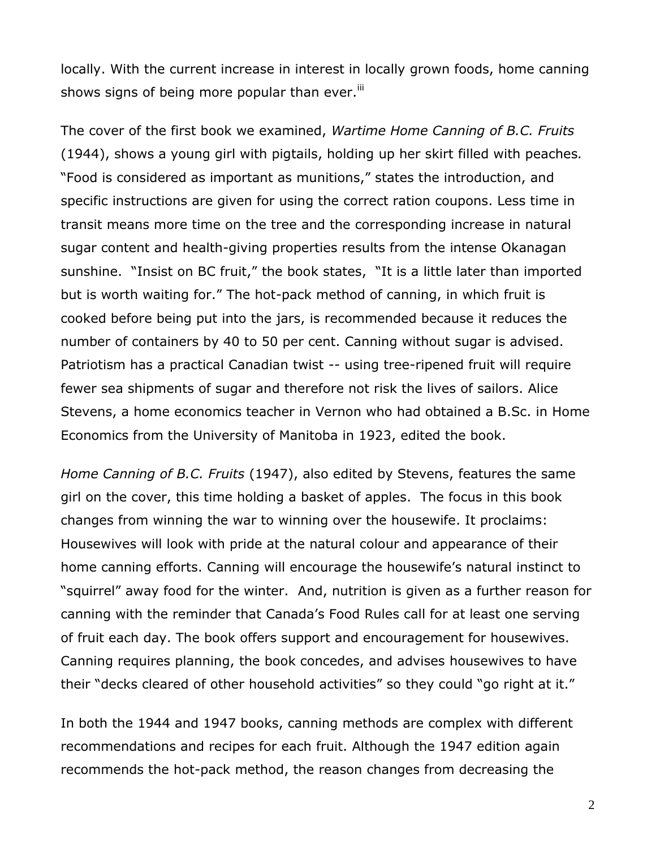locally. With the current increase in interest in locally grown foods, home canning shows signs of being more popular than ever.<sup>iii</sup>

The cover of the first book we examined, *Wartime Home Canning of B.C. Fruits*  (1944), shows a young girl with pigtails, holding up her skirt filled with peaches*.* "Food is considered as important as munitions," states the introduction, and specific instructions are given for using the correct ration coupons. Less time in transit means more time on the tree and the corresponding increase in natural sugar content and health-giving properties results from the intense Okanagan sunshine. "Insist on BC fruit," the book states, "It is a little later than imported but is worth waiting for." The hot-pack method of canning, in which fruit is cooked before being put into the jars, is recommended because it reduces the number of containers by 40 to 50 per cent. Canning without sugar is advised. Patriotism has a practical Canadian twist -- using tree-ripened fruit will require fewer sea shipments of sugar and therefore not risk the lives of sailors. Alice Stevens, a home economics teacher in Vernon who had obtained a B.Sc. in Home Economics from the University of Manitoba in 1923, edited the book.

*Home Canning of B.C. Fruits* (1947), also edited by Stevens, features the same girl on the cover, this time holding a basket of apples. The focus in this book changes from winning the war to winning over the housewife. It proclaims: Housewives will look with pride at the natural colour and appearance of their home canning efforts. Canning will encourage the housewife's natural instinct to "squirrel" away food for the winter. And, nutrition is given as a further reason for canning with the reminder that Canada's Food Rules call for at least one serving of fruit each day. The book offers support and encouragement for housewives. Canning requires planning, the book concedes, and advises housewives to have their "decks cleared of other household activities" so they could "go right at it."

In both the 1944 and 1947 books, canning methods are complex with different recommendations and recipes for each fruit. Although the 1947 edition again recommends the hot-pack method, the reason changes from decreasing the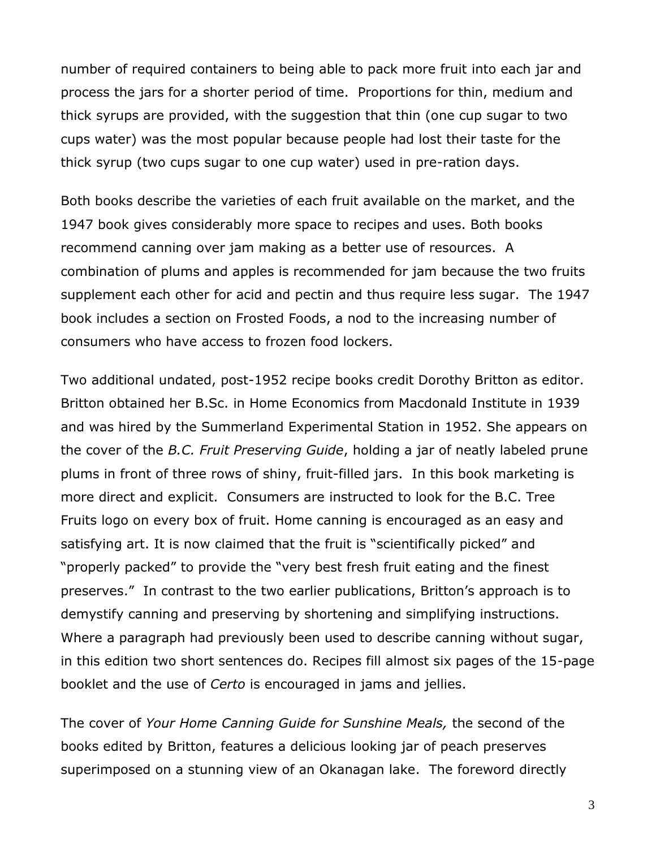number of required containers to being able to pack more fruit into each jar and process the jars for a shorter period of time. Proportions for thin, medium and thick syrups are provided, with the suggestion that thin (one cup sugar to two cups water) was the most popular because people had lost their taste for the thick syrup (two cups sugar to one cup water) used in pre-ration days.

Both books describe the varieties of each fruit available on the market, and the 1947 book gives considerably more space to recipes and uses. Both books recommend canning over jam making as a better use of resources. A combination of plums and apples is recommended for jam because the two fruits supplement each other for acid and pectin and thus require less sugar. The 1947 book includes a section on Frosted Foods, a nod to the increasing number of consumers who have access to frozen food lockers.

Two additional undated, post-1952 recipe books credit Dorothy Britton as editor. Britton obtained her B.Sc. in Home Economics from Macdonald Institute in 1939 and was hired by the Summerland Experimental Station in 1952. She appears on the cover of the *B.C. Fruit Preserving Guide*, holding a jar of neatly labeled prune plums in front of three rows of shiny, fruit-filled jars. In this book marketing is more direct and explicit. Consumers are instructed to look for the B.C. Tree Fruits logo on every box of fruit. Home canning is encouraged as an easy and satisfying art. It is now claimed that the fruit is "scientifically picked" and "properly packed" to provide the "very best fresh fruit eating and the finest preserves." In contrast to the two earlier publications, Britton's approach is to demystify canning and preserving by shortening and simplifying instructions. Where a paragraph had previously been used to describe canning without sugar, in this edition two short sentences do. Recipes fill almost six pages of the 15-page booklet and the use of *Certo* is encouraged in jams and jellies.

The cover of *Your Home Canning Guide for Sunshine Meals,* the second of the books edited by Britton, features a delicious looking jar of peach preserves superimposed on a stunning view of an Okanagan lake. The foreword directly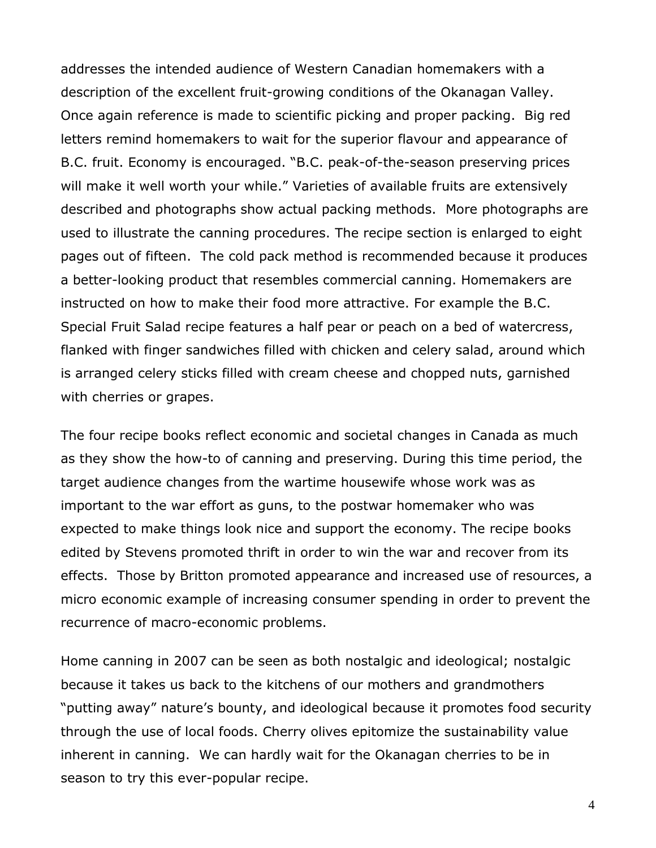addresses the intended audience of Western Canadian homemakers with a description of the excellent fruit-growing conditions of the Okanagan Valley. Once again reference is made to scientific picking and proper packing. Big red letters remind homemakers to wait for the superior flavour and appearance of B.C. fruit. Economy is encouraged. "B.C. peak-of-the-season preserving prices will make it well worth your while." Varieties of available fruits are extensively described and photographs show actual packing methods. More photographs are used to illustrate the canning procedures. The recipe section is enlarged to eight pages out of fifteen. The cold pack method is recommended because it produces a better-looking product that resembles commercial canning. Homemakers are instructed on how to make their food more attractive. For example the B.C. Special Fruit Salad recipe features a half pear or peach on a bed of watercress, flanked with finger sandwiches filled with chicken and celery salad, around which is arranged celery sticks filled with cream cheese and chopped nuts, garnished with cherries or grapes.

The four recipe books reflect economic and societal changes in Canada as much as they show the how-to of canning and preserving. During this time period, the target audience changes from the wartime housewife whose work was as important to the war effort as guns, to the postwar homemaker who was expected to make things look nice and support the economy. The recipe books edited by Stevens promoted thrift in order to win the war and recover from its effects. Those by Britton promoted appearance and increased use of resources, a micro economic example of increasing consumer spending in order to prevent the recurrence of macro-economic problems.

Home canning in 2007 can be seen as both nostalgic and ideological; nostalgic because it takes us back to the kitchens of our mothers and grandmothers "putting away" nature's bounty, and ideological because it promotes food security through the use of local foods. Cherry olives epitomize the sustainability value inherent in canning. We can hardly wait for the Okanagan cherries to be in season to try this ever-popular recipe.